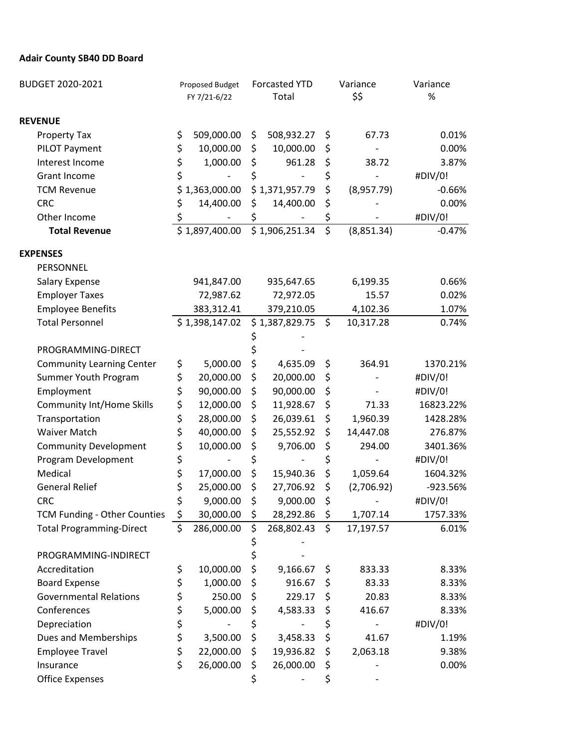## **Adair County SB40 DD Board**

| BUDGET 2020-2021                 |    | Proposed Budget<br>FY 7/21-6/22 |    | <b>Forcasted YTD</b><br>Total |                         | Variance   | Variance<br>$\%$ |
|----------------------------------|----|---------------------------------|----|-------------------------------|-------------------------|------------|------------------|
|                                  |    |                                 |    |                               |                         | \$\$       |                  |
| <b>REVENUE</b>                   |    |                                 |    |                               |                         |            |                  |
| Property Tax                     | \$ | 509,000.00                      | \$ | 508,932.27                    | \$                      | 67.73      | 0.01%            |
| PILOT Payment                    | \$ | 10,000.00                       | \$ | 10,000.00                     | \$                      |            | 0.00%            |
| Interest Income                  | \$ | 1,000.00                        | \$ | 961.28                        | \$                      | 38.72      | 3.87%            |
| <b>Grant Income</b>              | \$ |                                 | \$ |                               | \$                      |            | #DIV/0!          |
| <b>TCM Revenue</b>               | \$ | 1,363,000.00                    |    | \$1,371,957.79                | \$                      | (8,957.79) | $-0.66%$         |
| <b>CRC</b>                       | \$ | 14,400.00                       | \$ | 14,400.00                     | \$                      |            | 0.00%            |
| Other Income                     | \$ |                                 | \$ |                               | \$                      |            | #DIV/0!          |
| <b>Total Revenue</b>             |    | \$1,897,400.00                  |    | \$1,906,251.34                | $\overline{\mathsf{S}}$ | (8,851.34) | $-0.47%$         |
| <b>EXPENSES</b>                  |    |                                 |    |                               |                         |            |                  |
| PERSONNEL                        |    |                                 |    |                               |                         |            |                  |
| Salary Expense                   |    | 941,847.00                      |    | 935,647.65                    |                         | 6,199.35   | 0.66%            |
| <b>Employer Taxes</b>            |    | 72,987.62                       |    | 72,972.05                     |                         | 15.57      | 0.02%            |
| <b>Employee Benefits</b>         |    | 383,312.41                      |    | 379,210.05                    |                         | 4,102.36   | 1.07%            |
| <b>Total Personnel</b>           |    | \$1,398,147.02                  |    | \$1,387,829.75                | $\zeta$                 | 10,317.28  | 0.74%            |
|                                  |    |                                 |    |                               |                         |            |                  |
| PROGRAMMING-DIRECT               |    |                                 |    |                               |                         |            |                  |
| <b>Community Learning Center</b> | \$ | 5,000.00                        | \$ | 4,635.09                      | \$                      | 364.91     | 1370.21%         |
| Summer Youth Program             | \$ | 20,000.00                       | \$ | 20,000.00                     | \$                      |            | #DIV/0!          |
| Employment                       | \$ | 90,000.00                       | \$ | 90,000.00                     | \$                      |            | #DIV/0!          |
| <b>Community Int/Home Skills</b> | \$ | 12,000.00                       | \$ | 11,928.67                     | \$                      | 71.33      | 16823.22%        |
| Transportation                   | \$ | 28,000.00                       | \$ | 26,039.61                     | \$                      | 1,960.39   | 1428.28%         |
| <b>Waiver Match</b>              | \$ | 40,000.00                       | \$ | 25,552.92                     | \$                      | 14,447.08  | 276.87%          |
| <b>Community Development</b>     | \$ | 10,000.00                       | \$ | 9,706.00                      | \$                      | 294.00     | 3401.36%         |
| Program Development              | \$ |                                 | \$ |                               | \$                      |            | #DIV/0!          |
| Medical                          | \$ | 17,000.00                       | \$ | 15,940.36                     | \$                      | 1,059.64   | 1604.32%         |
| <b>General Relief</b>            | \$ | 25,000.00                       | \$ | 27,706.92                     | \$                      | (2,706.92) | -923.56%         |
| <b>CRC</b>                       | \$ | 9,000.00                        | \$ | 9,000.00                      | \$                      |            | #DIV/0!          |
| TCM Funding - Other Counties     | \$ | 30,000.00                       | \$ | 28,292.86                     | \$                      | 1,707.14   | 1757.33%         |
| <b>Total Programming-Direct</b>  | \$ | 286,000.00                      | \$ | 268,802.43                    | $\zeta$                 | 17,197.57  | 6.01%            |
|                                  |    |                                 | \$ |                               |                         |            |                  |
| PROGRAMMING-INDIRECT             |    |                                 | \$ |                               |                         |            |                  |
| Accreditation                    | \$ | 10,000.00                       | \$ | 9,166.67                      | \$                      | 833.33     | 8.33%            |
| <b>Board Expense</b>             | \$ | 1,000.00                        | \$ | 916.67                        | \$                      | 83.33      | 8.33%            |
| <b>Governmental Relations</b>    | \$ | 250.00                          | \$ | 229.17                        | \$                      | 20.83      | 8.33%            |
| Conferences                      | \$ | 5,000.00                        | \$ | 4,583.33                      | \$                      | 416.67     | 8.33%            |
| Depreciation                     | \$ |                                 | \$ |                               | \$                      |            | #DIV/0!          |
| Dues and Memberships             | \$ | 3,500.00                        | \$ | 3,458.33                      | \$                      | 41.67      | 1.19%            |
| <b>Employee Travel</b>           | \$ | 22,000.00                       | \$ | 19,936.82                     | \$                      | 2,063.18   | 9.38%            |
| Insurance                        | \$ | 26,000.00                       | \$ | 26,000.00                     | \$                      |            | 0.00%            |
| <b>Office Expenses</b>           |    |                                 | \$ |                               | \$                      |            |                  |